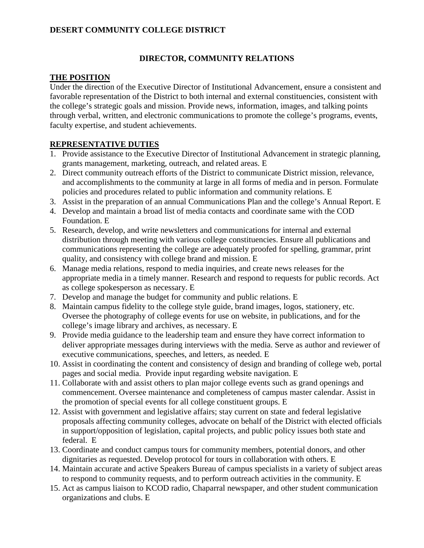## **DESERT COMMUNITY COLLEGE DISTRICT**

#### **DIRECTOR, COMMUNITY RELATIONS**

#### **THE POSITION**

Under the direction of the Executive Director of Institutional Advancement, ensure a consistent and favorable representation of the District to both internal and external constituencies, consistent with the college's strategic goals and mission. Provide news, information, images, and talking points through verbal, written, and electronic communications to promote the college's programs, events, faculty expertise, and student achievements.

#### **REPRESENTATIVE DUTIES**

- 1. Provide assistance to the Executive Director of Institutional Advancement in strategic planning, grants management, marketing, outreach, and related areas. E
- 2. Direct community outreach efforts of the District to communicate District mission, relevance, and accomplishments to the community at large in all forms of media and in person. Formulate policies and procedures related to public information and community relations. E
- 3. Assist in the preparation of an annual Communications Plan and the college's Annual Report. E
- 4. Develop and maintain a broad list of media contacts and coordinate same with the COD Foundation. E
- 5. Research, develop, and write newsletters and communications for internal and external distribution through meeting with various college constituencies. Ensure all publications and communications representing the college are adequately proofed for spelling, grammar, print quality, and consistency with college brand and mission. E
- 6. Manage media relations, respond to media inquiries, and create news releases for the appropriate media in a timely manner. Research and respond to requests for public records. Act as college spokesperson as necessary. E
- 7. Develop and manage the budget for community and public relations. E
- 8. Maintain campus fidelity to the college style guide, brand images, logos, stationery, etc. Oversee the photography of college events for use on website, in publications, and for the college's image library and archives, as necessary. E
- 9. Provide media guidance to the leadership team and ensure they have correct information to deliver appropriate messages during interviews with the media. Serve as author and reviewer of executive communications, speeches, and letters, as needed. E
- 10. Assist in coordinating the content and consistency of design and branding of college web, portal pages and social media. Provide input regarding website navigation. E
- 11. Collaborate with and assist others to plan major college events such as grand openings and commencement. Oversee maintenance and completeness of campus master calendar. Assist in the promotion of special events for all college constituent groups. E
- 12. Assist with government and legislative affairs; stay current on state and federal legislative proposals affecting community colleges, advocate on behalf of the District with elected officials in support/opposition of legislation, capital projects, and public policy issues both state and federal. E
- 13. Coordinate and conduct campus tours for community members, potential donors, and other dignitaries as requested. Develop protocol for tours in collaboration with others. E
- 14. Maintain accurate and active Speakers Bureau of campus specialists in a variety of subject areas to respond to community requests, and to perform outreach activities in the community. E
- 15. Act as campus liaison to KCOD radio, Chaparral newspaper, and other student communication organizations and clubs. E